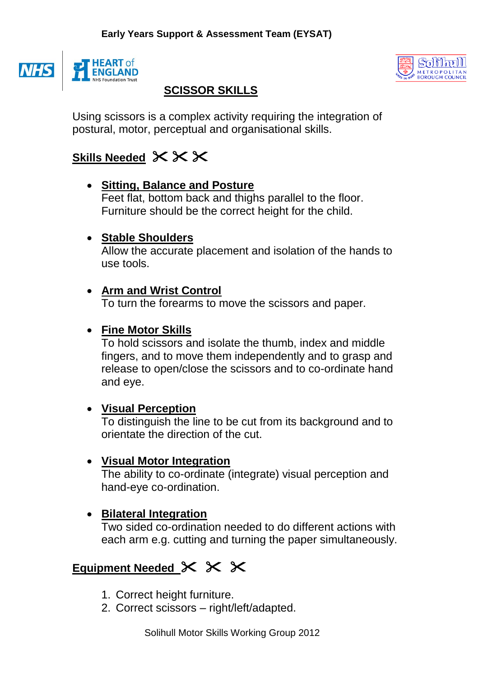



## **SCISSOR SKILLS**

Using scissors is a complex activity requiring the integration of postural, motor, perceptual and organisational skills.

# **Skills Needed**

#### **Sitting, Balance and Posture**

Feet flat, bottom back and thighs parallel to the floor. Furniture should be the correct height for the child.

#### **Stable Shoulders**

Allow the accurate placement and isolation of the hands to use tools.

### **Arm and Wrist Control**

To turn the forearms to move the scissors and paper.

### **Fine Motor Skills**

To hold scissors and isolate the thumb, index and middle fingers, and to move them independently and to grasp and release to open/close the scissors and to co-ordinate hand and eye.

### **Visual Perception**

To distinguish the line to be cut from its background and to orientate the direction of the cut.

### **Visual Motor Integration**

The ability to co-ordinate (integrate) visual perception and hand-eye co-ordination.

### **•** Bilateral Integration

Two sided co-ordination needed to do different actions with each arm e.g. cutting and turning the paper simultaneously.

# **Equipment Needed**

- 1. Correct height furniture.
- 2. Correct scissors right/left/adapted.

Solihull Motor Skills Working Group 2012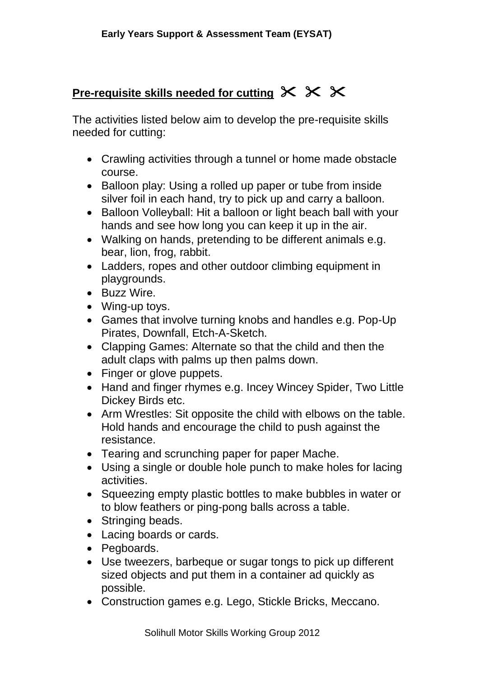# **Pre-requisite skills needed for cutting**  $X \times X$

The activities listed below aim to develop the pre-requisite skills needed for cutting:

- Crawling activities through a tunnel or home made obstacle course.
- Balloon play: Using a rolled up paper or tube from inside silver foil in each hand, try to pick up and carry a balloon.
- Balloon Volleyball: Hit a balloon or light beach ball with your hands and see how long you can keep it up in the air.
- Walking on hands, pretending to be different animals e.g. bear, lion, frog, rabbit.
- Ladders, ropes and other outdoor climbing equipment in playgrounds.
- Buzz Wire.
- Wing-up toys.
- Games that involve turning knobs and handles e.g. Pop-Up Pirates, Downfall, Etch-A-Sketch.
- Clapping Games: Alternate so that the child and then the adult claps with palms up then palms down.
- Finger or glove puppets.
- Hand and finger rhymes e.g. Incey Wincey Spider, Two Little Dickey Birds etc.
- Arm Wrestles: Sit opposite the child with elbows on the table. Hold hands and encourage the child to push against the resistance.
- Tearing and scrunching paper for paper Mache.
- Using a single or double hole punch to make holes for lacing activities.
- Squeezing empty plastic bottles to make bubbles in water or to blow feathers or ping-pong balls across a table.
- Stringing beads.
- Lacing boards or cards.
- Pegboards.
- Use tweezers, barbeque or sugar tongs to pick up different sized objects and put them in a container ad quickly as possible.
- Construction games e.g. Lego, Stickle Bricks, Meccano.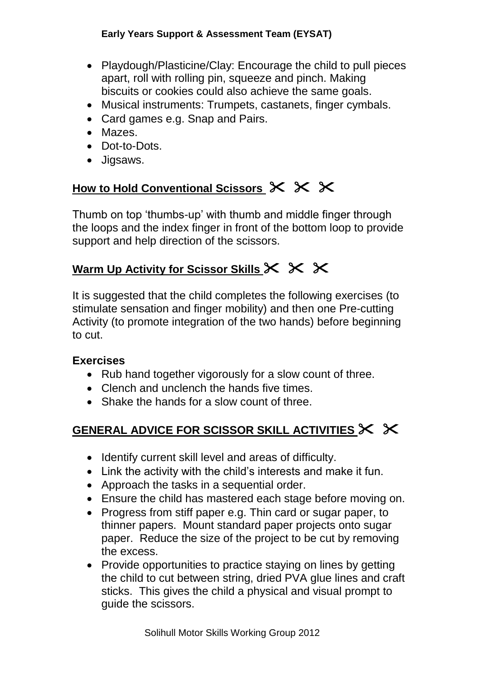- Playdough/Plasticine/Clay: Encourage the child to pull pieces apart, roll with rolling pin, squeeze and pinch. Making biscuits or cookies could also achieve the same goals.
- Musical instruments: Trumpets, castanets, finger cymbals.
- Card games e.g. Snap and Pairs.
- Mazes.
- Dot-to-Dots
- Jigsaws.

## **How to Hold Conventional Scissors**

Thumb on top 'thumbs-up' with thumb and middle finger through the loops and the index finger in front of the bottom loop to provide support and help direction of the scissors.

# **Warm Up Activity for Scissor Skills**

It is suggested that the child completes the following exercises (to stimulate sensation and finger mobility) and then one Pre-cutting Activity (to promote integration of the two hands) before beginning to cut.

## **Exercises**

- Rub hand together vigorously for a slow count of three.
- Clench and unclench the hands five times.
- Shake the hands for a slow count of three.

# **GENERAL ADVICE FOR SCISSOR SKILL ACTIVITIES**

- Identify current skill level and areas of difficulty.
- Link the activity with the child's interests and make it fun.
- Approach the tasks in a sequential order.
- Ensure the child has mastered each stage before moving on.
- Progress from stiff paper e.g. Thin card or sugar paper, to thinner papers. Mount standard paper projects onto sugar paper. Reduce the size of the project to be cut by removing the excess.
- Provide opportunities to practice staying on lines by getting the child to cut between string, dried PVA glue lines and craft sticks. This gives the child a physical and visual prompt to guide the scissors.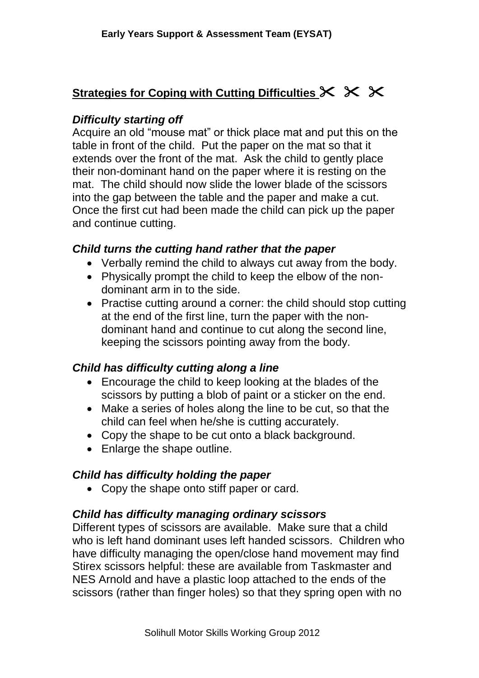## **Strategies for Coping with Cutting Difficulties**

### *Difficulty starting off*

Acquire an old "mouse mat" or thick place mat and put this on the table in front of the child. Put the paper on the mat so that it extends over the front of the mat. Ask the child to gently place their non-dominant hand on the paper where it is resting on the mat. The child should now slide the lower blade of the scissors into the gap between the table and the paper and make a cut. Once the first cut had been made the child can pick up the paper and continue cutting.

### *Child turns the cutting hand rather that the paper*

- Verbally remind the child to always cut away from the body.
- Physically prompt the child to keep the elbow of the nondominant arm in to the side.
- Practise cutting around a corner: the child should stop cutting at the end of the first line, turn the paper with the nondominant hand and continue to cut along the second line, keeping the scissors pointing away from the body.

## *Child has difficulty cutting along a line*

- Encourage the child to keep looking at the blades of the scissors by putting a blob of paint or a sticker on the end.
- Make a series of holes along the line to be cut, so that the child can feel when he/she is cutting accurately.
- Copy the shape to be cut onto a black background.
- Enlarge the shape outline.

## *Child has difficulty holding the paper*

• Copy the shape onto stiff paper or card.

### *Child has difficulty managing ordinary scissors*

Different types of scissors are available. Make sure that a child who is left hand dominant uses left handed scissors. Children who have difficulty managing the open/close hand movement may find Stirex scissors helpful: these are available from Taskmaster and NES Arnold and have a plastic loop attached to the ends of the scissors (rather than finger holes) so that they spring open with no